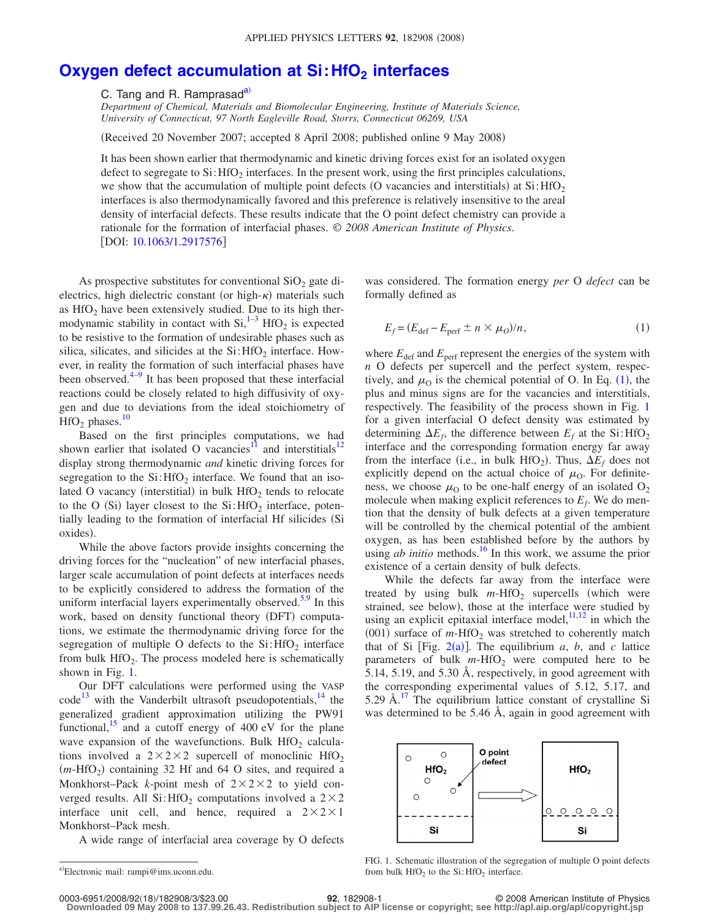## **Oxygen defect accumulation at Si: HfO<sub>2</sub> interfaces**

C. Tang and R. Ramprasad<sup>a)</sup>

*Department of Chemical, Materials and Biomolecular Engineering, Institute of Materials Science, University of Connecticut, 97 North Eagleville Road, Storrs, Connecticut 06269, USA*

Received 20 November 2007; accepted 8 April 2008; published online 9 May 2008-

It has been shown earlier that thermodynamic and kinetic driving forces exist for an isolated oxygen defect to segregate to  $Si:$  HfO<sub>2</sub> interfaces. In the present work, using the first principles calculations, we show that the accumulation of multiple point defects (O vacancies and interstitials) at  $Si$ : HfO<sub>2</sub> interfaces is also thermodynamically favored and this preference is relatively insensitive to the areal density of interfacial defects. These results indicate that the O point defect chemistry can provide a rationale for the formation of interfacial phases. © *2008 American Institute of Physics*. [DOI: [10.1063/1.2917576](http://dx.doi.org/10.1063/1.2917576)]

As prospective substitutes for conventional  $SiO<sub>2</sub>$  gate dielectrics, high dielectric constant (or high- $\kappa$ ) materials such as  $HfO<sub>2</sub>$  have been extensively studied. Due to its high thermodynamic stability in contact with  $Si<sub>1</sub><sup>1–3</sup>$  $Si<sub>1</sub><sup>1–3</sup>$  $Si<sub>1</sub><sup>1–3</sup>$  HfO<sub>2</sub> is expected to be resistive to the formation of undesirable phases such as silica, silicates, and silicides at the  $Si:$  HfO<sub>2</sub> interface. However, in reality the formation of such interfacial phases have been observed. $4-9$  It has been proposed that these interfacial reactions could be closely related to high diffusivity of oxygen and due to deviations from the ideal stoichiometry of  $HfO<sub>2</sub>$  phases.<sup>10</sup>

Based on the first principles computations, we had shown earlier that isolated O vacancies<sup>11</sup> and interstitials<sup>12</sup> display strong thermodynamic *and* kinetic driving forces for segregation to the  $Si:$  HfO<sub>2</sub> interface. We found that an isolated O vacancy (interstitial) in bulk  $HfO<sub>2</sub>$  tends to relocate to the O (Si) layer closest to the  $Si:HfO<sub>2</sub>$  interface, potentially leading to the formation of interfacial Hf silicides (Si oxides).

While the above factors provide insights concerning the driving forces for the "nucleation" of new interfacial phases, larger scale accumulation of point defects at interfaces needs to be explicitly considered to address the formation of the uniform interfacial layers experimentally observed.<sup>5[,9](#page-2-3)</sup> In this work, based on density functional theory (DFT) computations, we estimate the thermodynamic driving force for the segregation of multiple O defects to the  $Si: HfO<sub>2</sub>$  interface from bulk  $HfO<sub>2</sub>$ . The process modeled here is schematically shown in Fig. [1.](#page-0-1)

Our DFT calculations were performed using the VASP code<sup>13</sup> with the Vanderbilt ultrasoft pseudopotentials,  $^{14}$  the generalized gradient approximation utilizing the PW91 functional, $^{15}$  and a cutoff energy of 400 eV for the plane wave expansion of the wavefunctions. Bulk  $HfO<sub>2</sub>$  calculations involved a  $2 \times 2 \times 2$  supercell of monoclinic HfO<sub>2</sub>  $(m-HfO<sub>2</sub>)$  containing 32 Hf and 64 O sites, and required a Monkhorst–Pack  $k$ -point mesh of  $2 \times 2 \times 2$  to yield converged results. All  $Si: HfO<sub>2</sub>$  computations involved a  $2 \times 2$ interface unit cell, and hence, required a  $2 \times 2 \times 1$ Monkhorst–Pack mesh.

<span id="page-0-0"></span>A wide range of interfacial area coverage by O defects

<span id="page-0-2"></span>was considered. The formation energy *per* O *defect* can be formally defined as

$$
E_f = (E_{\text{def}} - E_{\text{perf}} \pm n \times \mu_O)/n,\tag{1}
$$

where  $E_{\text{def}}$  and  $E_{\text{perf}}$  represent the energies of the system with *n* O defects per supercell and the perfect system, respectively, and  $\mu_0$  is the chemical potential of O. In Eq. ([1](#page-0-2)), the plus and minus signs are for the vacancies and interstitials, respectively. The feasibility of the process shown in Fig. [1](#page-0-1) for a given interfacial O defect density was estimated by determining  $\Delta E_f$ , the difference between  $E_f$  at the Si:HfO<sub>2</sub> interface and the corresponding formation energy far away from the interface (i.e., in bulk  $HfO_2$ ). Thus,  $\Delta E_f$  does not explicitly depend on the actual choice of  $\mu_0$ . For definiteness, we choose  $\mu_0$  to be one-half energy of an isolated  $O_2$ molecule when making explicit references to  $E_f$ . We do mention that the density of bulk defects at a given temperature will be controlled by the chemical potential of the ambient oxygen, as has been established before by the authors by using *ab initio* methods.<sup>16</sup> In this work, we assume the prior existence of a certain density of bulk defects.

While the defects far away from the interface were treated by using bulk  $m$ -HfO<sub>2</sub> supercells (which were strained, see below), those at the interface were studied by using an explicit epitaxial interface model, $\frac{11,12}{11}$  $\frac{11,12}{11}$  $\frac{11,12}{11}$  in which the  $(001)$  surface of  $m$ -HfO<sub>2</sub> was stretched to coherently match that of Si [Fig.  $2(a)$  $2(a)$ ]. The equilibrium *a*, *b*, and *c* lattice parameters of bulk  $m$ -HfO<sub>2</sub> were computed here to be 5.14, 5.19, and 5.30 Å, respectively, in good agreement with the corresponding experimental values of 5.12, 5.17, and 5.29 Å. $^{17}$  $^{17}$  $^{17}$  The equilibrium lattice constant of crystalline Si was determined to be 5.46 Å, again in good agreement with

<span id="page-0-1"></span>

FIG. 1. Schematic illustration of the segregation of multiple O point defects from bulk  $HfO<sub>2</sub>$  to the Si:  $HfO<sub>2</sub>$  interface.

**Downloaded 09 May 2008 to 137.99.26.43. Redistribution subject to AIP license or copyright; see http://apl.aip.org/apl/copyright.jsp**

a)Electronic mail: rampi@ims.uconn.edu.

<sup>18</sup>/182908/3/\$23.00 © 2008 American Institute of Physics **92**, 182908-1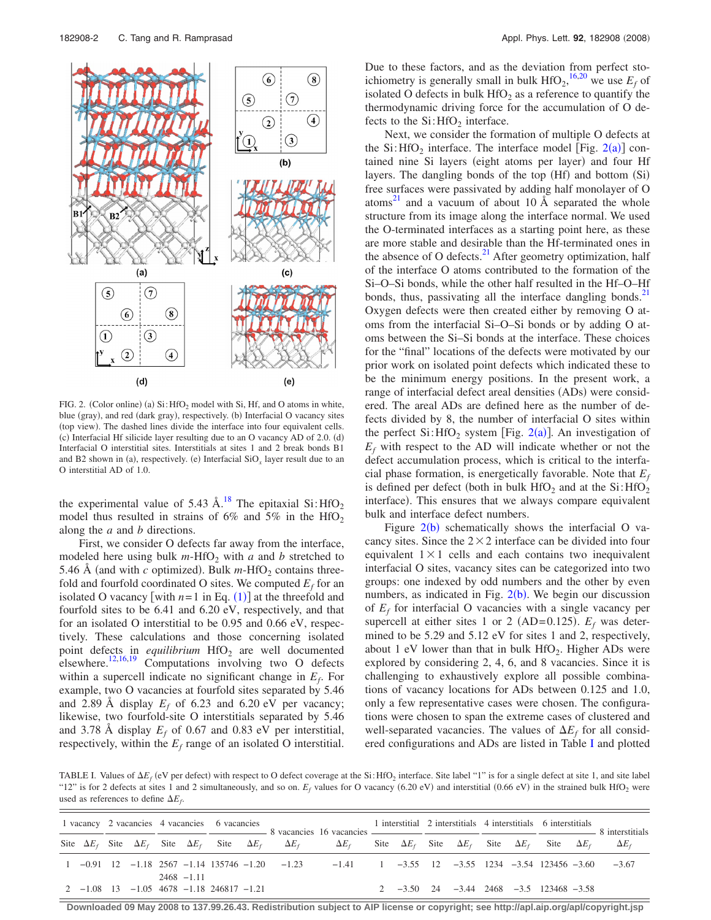<span id="page-1-0"></span>

FIG. 2. (Color online) (a)  $Si$ : HfO<sub>2</sub> model with Si, Hf, and O atoms in white, blue (gray), and red (dark gray), respectively. (b) Interfacial O vacancy sites (top view). The dashed lines divide the interface into four equivalent cells. (c) Interfacial Hf silicide layer resulting due to an O vacancy AD of 2.0. (d) Interfacial O interstitial sites. Interstitials at sites 1 and 2 break bonds B1 and B2 shown in (a), respectively. (e) Interfacial  $SiO_x$  layer result due to an O interstitial AD of 1.0.

the experimental value of 5.43 Å.<sup>18</sup> The epitaxial Si: $HfO<sub>2</sub>$ model thus resulted in strains of 6% and 5% in the  $HfO<sub>2</sub>$ along the *a* and *b* directions.

First, we consider O defects far away from the interface, modeled here using bulk  $m$ -HfO<sub>2</sub> with  $a$  and  $b$  stretched to 5.46 Å (and with *c* optimized). Bulk  $m$ -HfO<sub>2</sub> contains threefold and fourfold coordinated O sites. We computed  $E_f$  for an isolated O vacancy [with  $n=1$  $n=1$  in Eq. (1)] at the threefold and fourfold sites to be 6.41 and 6.20 eV, respectively, and that for an isolated O interstitial to be 0.95 and 0.66 eV, respectively. These calculations and those concerning isolated point defects in *equilibrium* HfO<sub>2</sub> are well documented elsewhere.<sup>12[,16](#page-2-11)[,19](#page-2-14)</sup> Computations involving two O defects within a supercell indicate no significant change in *Ef*. For example, two O vacancies at fourfold sites separated by 5.46 and 2.89 Å display  $E_f$  of 6.23 and 6.20 eV per vacancy; likewise, two fourfold-site O interstitials separated by 5.46 and 3.78 Å display  $E_f$  of 0.67 and 0.83 eV per interstitial, respectively, within the  $E_f$  range of an isolated O interstitial. Due to these factors, and as the deviation from perfect stoichiometry is generally small in bulk  $HfO_2$ , <sup>[16,](#page-2-11)[20](#page-2-15)</sup> we use  $E_f$  of isolated O defects in bulk  $HfO<sub>2</sub>$  as a reference to quantify the thermodynamic driving force for the accumulation of O defects to the  $Si:$  HfO<sub>2</sub> interface.

Next, we consider the formation of multiple O defects at the Si:  $HfO_2$  $HfO_2$  interface. The interface model [Fig. 2(a)] contained nine Si layers (eight atoms per layer) and four Hf layers. The dangling bonds of the top (Hf) and bottom (Si) free surfaces were passivated by adding half monolayer of O atoms<sup>21</sup> and a vacuum of about 10  $\AA$  separated the whole structure from its image along the interface normal. We used the O-terminated interfaces as a starting point here, as these are more stable and desirable than the Hf-terminated ones in the absence of O defects. $^{21}$  After geometry optimization, half of the interface O atoms contributed to the formation of the Si–O–Si bonds, while the other half resulted in the Hf–O–Hf bonds, thus, passivating all the interface dangling bonds. $21$ Oxygen defects were then created either by removing O atoms from the interfacial Si–O–Si bonds or by adding O atoms between the Si–Si bonds at the interface. These choices for the "final" locations of the defects were motivated by our prior work on isolated point defects which indicated these to be the minimum energy positions. In the present work, a range of interfacial defect areal densities (ADs) were considered. The areal ADs are defined here as the number of defects divided by 8, the number of interfacial O sites within the perfect  $Si$ : HfO<sub>[2](#page-1-0)</sub> system [Fig. 2(a)]. An investigation of  $E_f$  with respect to the AD will indicate whether or not the defect accumulation process, which is critical to the interfacial phase formation, is energetically favorable. Note that  $E_f$ is defined per defect (both in bulk  $HfO<sub>2</sub>$  and at the Si: $HfO<sub>2</sub>$ interface). This ensures that we always compare equivalent bulk and interface defect numbers.

Figure  $2(b)$  $2(b)$  schematically shows the interfacial O vacancy sites. Since the  $2 \times 2$  interface can be divided into four equivalent  $1 \times 1$  cells and each contains two inequivalent interfacial O sites, vacancy sites can be categorized into two groups: one indexed by odd numbers and the other by even numbers, as indicated in Fig.  $2(b)$  $2(b)$ . We begin our discussion of  $E_f$  for interfacial O vacancies with a single vacancy per supercell at either sites 1 or 2 (AD= $0.125$ ).  $E_f$  was determined to be 5.29 and 5.12 eV for sites 1 and 2, respectively, about 1 eV lower than that in bulk  $HfO<sub>2</sub>$ . Higher ADs were explored by considering 2, 4, 6, and 8 vacancies. Since it is challenging to exhaustively explore all possible combinations of vacancy locations for ADs between 0.125 and 1.0, only a few representative cases were chosen. The configurations were chosen to span the extreme cases of clustered and well-separated vacancies. The values of  $\Delta E_f$  for all considered configurations and ADs are listed in Table [I](#page-1-1) and plotted

<span id="page-1-1"></span>TABLE I. Values of  $\Delta E_f$  (eV per defect) with respect to O defect coverage at the Si:HfO<sub>2</sub> interface. Site label "1" is for a single defect at site 1, and site label "12" is for 2 defects at sites 1 and 2 simultaneously, and so on.  $E_f$  values for O vacancy (6.20 eV) and interstitial (0.66 eV) in the strained bulk HfO<sub>2</sub> were used as references to define  $\Delta E_f$ .

| $\frac{1}{1}$ $\frac{1}{1}$ $\frac{1}{1}$ $\frac{1}{1}$ $\frac{1}{1}$ $\frac{1}{1}$ $\frac{1}{1}$ $\frac{1}{1}$ $\frac{1}{1}$ $\frac{1}{1}$ $\frac{1}{1}$ $\frac{1}{1}$ $\frac{1}{1}$ $\frac{1}{1}$ $\frac{1}{1}$ $\frac{1}{1}$ $\frac{1}{1}$ $\frac{1}{1}$ $\frac{1}{1}$ $\frac{1}{1}$ $\frac{1}{1}$ $\frac{1}{1}$<br>Site $\Delta E_f$ Site $\Delta E_f$ Site $\Delta E_f$ Site $\Delta E_f$ $\Delta E_f$ $\Delta E_f$ Site $\Delta E_f$ Site $\Delta E_f$ Site $\Delta E_f$ Site $\Delta E_f$ $\Delta E_f$<br>$1 -0.91$ $12 -1.18$ $2567 -1.14$ $135746 -1.20$ $-1.23$ $-1.41$ $1$ $-3.55$ $12$ $-3.55$ $1234$ $-3.54$ $123456 -3.60$ $-3.67$<br>$2468 - 111$<br>2 $-3.50$ 24 $-3.44$ 2468 $-3.5$ 123468 $-3.58$<br>$2 -1.08$ 13 $-1.05$ 4678 $-1.18$ 246817 $-1.21$ |  |  |  |  |  |  | 1 vacancy 2 vacancies 4 vacancies 6 vacancies contract to the contract of the contract of the contract of the contract of the contract of the contract of the contract of the contract of the contract of the contract of the |  |  |  |  |  |  |  |  |  |  |  |
|-------------------------------------------------------------------------------------------------------------------------------------------------------------------------------------------------------------------------------------------------------------------------------------------------------------------------------------------------------------------------------------------------------------------------------------------------------------------------------------------------------------------------------------------------------------------------------------------------------------------------------------------------------------------------------------------------------------------------------------------------------------------------|--|--|--|--|--|--|-------------------------------------------------------------------------------------------------------------------------------------------------------------------------------------------------------------------------------|--|--|--|--|--|--|--|--|--|--|--|
|                                                                                                                                                                                                                                                                                                                                                                                                                                                                                                                                                                                                                                                                                                                                                                         |  |  |  |  |  |  |                                                                                                                                                                                                                               |  |  |  |  |  |  |  |  |  |  |  |
|                                                                                                                                                                                                                                                                                                                                                                                                                                                                                                                                                                                                                                                                                                                                                                         |  |  |  |  |  |  |                                                                                                                                                                                                                               |  |  |  |  |  |  |  |  |  |  |  |
|                                                                                                                                                                                                                                                                                                                                                                                                                                                                                                                                                                                                                                                                                                                                                                         |  |  |  |  |  |  |                                                                                                                                                                                                                               |  |  |  |  |  |  |  |  |  |  |  |

**Downloaded 09 May 2008 to 137.99.26.43. Redistribution subject to AIP license or copyright; see http://apl.aip.org/apl/copyright.jsp**